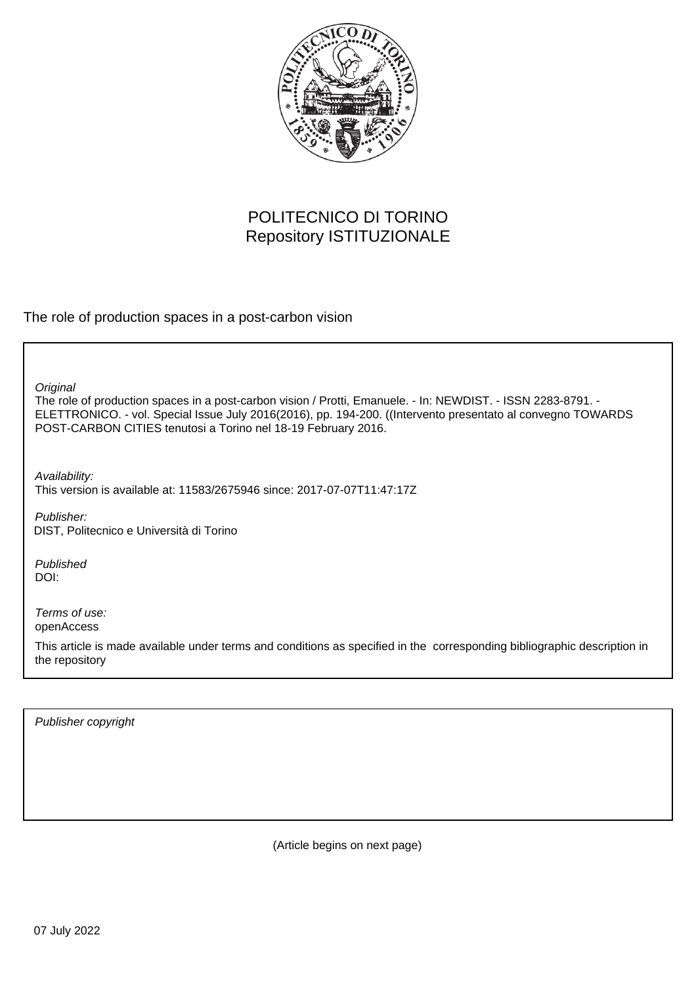

# POLITECNICO DI TORINO Repository ISTITUZIONALE

The role of production spaces in a post-carbon vision

The role of production spaces in a post-carbon vision / Protti, Emanuele. - In: NEWDIST. - ISSN 2283-8791. - ELETTRONICO. - vol. Special Issue July 2016(2016), pp. 194-200. ((Intervento presentato al convegno TOWARDS POST-CARBON CITIES tenutosi a Torino nel 18-19 February 2016. **Original** 

Availability: This version is available at: 11583/2675946 since: 2017-07-07T11:47:17Z

Publisher: DIST, Politecnico e Università di Torino

Published DOI:

Terms of use: openAccess

This article is made available under terms and conditions as specified in the corresponding bibliographic description in the repository

Publisher copyright

(Article begins on next page)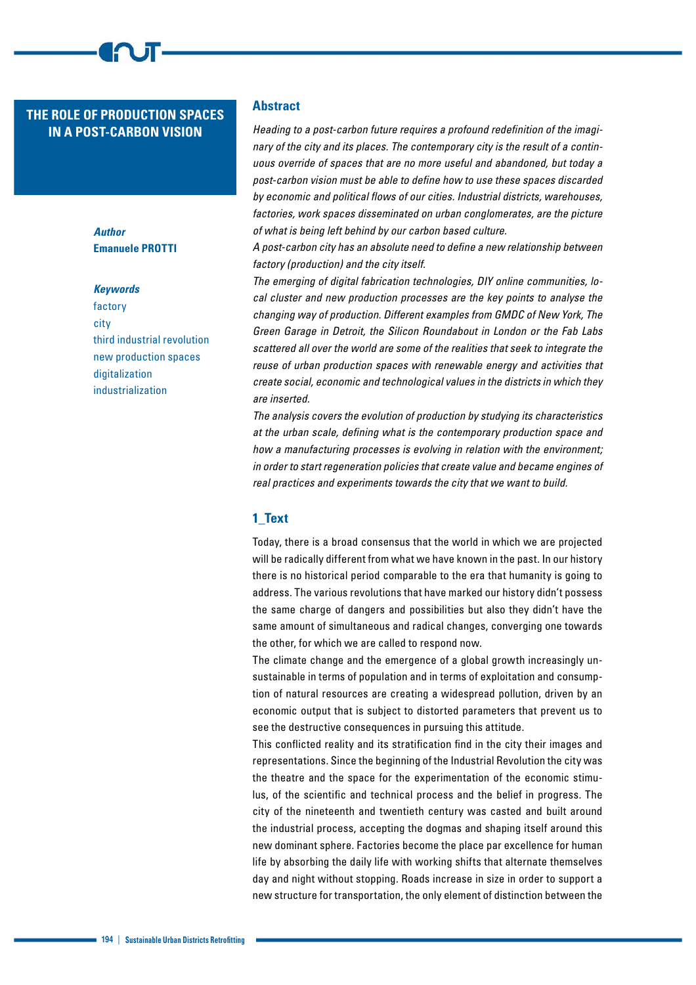## **THE ROLE OF PRODUCTION SPACES IN A POST-CARBON VISION**

*Author* **Emanuele PROTTI**

### *Keywords*

factory city third industrial revolution new production spaces digitalization industrialization

### **Abstract**

*Heading to a post-carbon future requires a profound redefinition of the imaginary of the city and its places. The contemporary city is the result of a continuous override of spaces that are no more useful and abandoned, but today a post-carbon vision must be able to define how to use these spaces discarded by economic and political flows of our cities. Industrial districts, warehouses, factories, work spaces disseminated on urban conglomerates, are the picture of what is being left behind by our carbon based culture.* 

*A post-carbon city has an absolute need to define a new relationship between factory (production) and the city itself.*

*The emerging of digital fabrication technologies, DIY online communities, local cluster and new production processes are the key points to analyse the changing way of production. Different examples from GMDC of New York, The Green Garage in Detroit, the Silicon Roundabout in London or the Fab Labs scattered all over the world are some of the realities that seek to integrate the reuse of urban production spaces with renewable energy and activities that create social, economic and technological values in the districts in which they are inserted.* 

*The analysis covers the evolution of production by studying its characteristics at the urban scale, defining what is the contemporary production space and how a manufacturing processes is evolving in relation with the environment; in order to start regeneration policies that create value and became engines of real practices and experiments towards the city that we want to build.*

### **1\_Text**

Today, there is a broad consensus that the world in which we are projected will be radically different from what we have known in the past. In our history there is no historical period comparable to the era that humanity is going to address. The various revolutions that have marked our history didn't possess the same charge of dangers and possibilities but also they didn't have the same amount of simultaneous and radical changes, converging one towards the other, for which we are called to respond now.

The climate change and the emergence of a global growth increasingly unsustainable in terms of population and in terms of exploitation and consumption of natural resources are creating a widespread pollution, driven by an economic output that is subject to distorted parameters that prevent us to see the destructive consequences in pursuing this attitude.

This conflicted reality and its stratification find in the city their images and representations. Since the beginning of the Industrial Revolution the city was the theatre and the space for the experimentation of the economic stimulus, of the scientific and technical process and the belief in progress. The city of the nineteenth and twentieth century was casted and built around the industrial process, accepting the dogmas and shaping itself around this new dominant sphere. Factories become the place par excellence for human life by absorbing the daily life with working shifts that alternate themselves day and night without stopping. Roads increase in size in order to support a new structure for transportation, the only element of distinction between the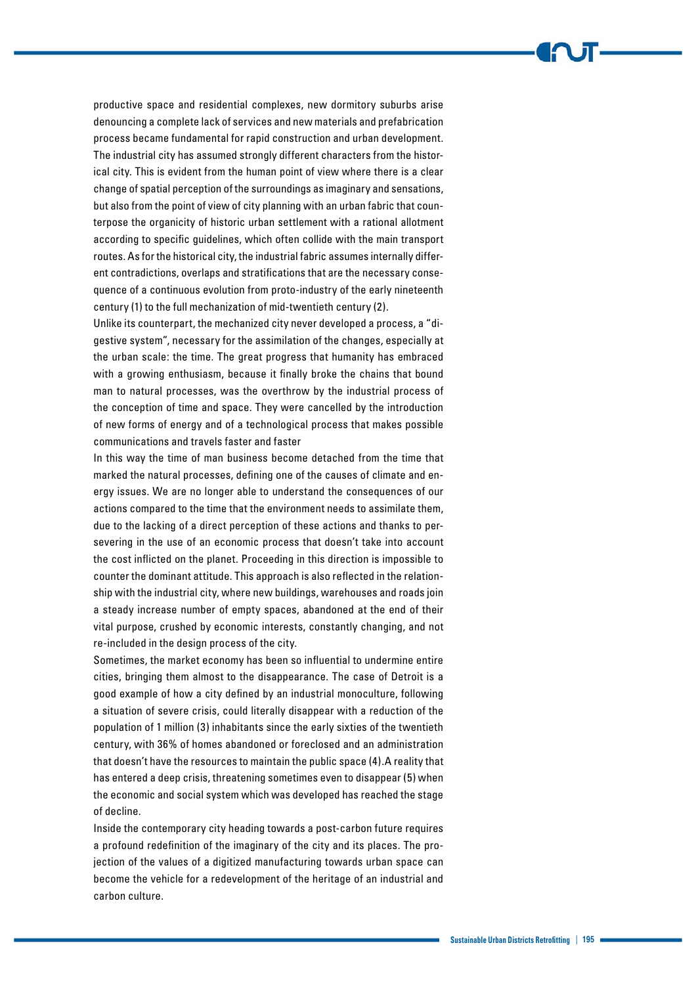productive space and residential complexes, new dormitory suburbs arise denouncing a complete lack of services and new materials and prefabrication process became fundamental for rapid construction and urban development. The industrial city has assumed strongly different characters from the historical city. This is evident from the human point of view where there is a clear change of spatial perception of the surroundings as imaginary and sensations, but also from the point of view of city planning with an urban fabric that counterpose the organicity of historic urban settlement with a rational allotment according to specific guidelines, which often collide with the main transport routes. As for the historical city, the industrial fabric assumes internally different contradictions, overlaps and stratifications that are the necessary consequence of a continuous evolution from proto-industry of the early nineteenth century (1) to the full mechanization of mid-twentieth century (2).

Unlike its counterpart, the mechanized city never developed a process, a "digestive system", necessary for the assimilation of the changes, especially at the urban scale: the time. The great progress that humanity has embraced with a growing enthusiasm, because it finally broke the chains that bound man to natural processes, was the overthrow by the industrial process of the conception of time and space. They were cancelled by the introduction of new forms of energy and of a technological process that makes possible communications and travels faster and faster

In this way the time of man business become detached from the time that marked the natural processes, defining one of the causes of climate and energy issues. We are no longer able to understand the consequences of our actions compared to the time that the environment needs to assimilate them, due to the lacking of a direct perception of these actions and thanks to persevering in the use of an economic process that doesn't take into account the cost inflicted on the planet. Proceeding in this direction is impossible to counter the dominant attitude. This approach is also reflected in the relationship with the industrial city, where new buildings, warehouses and roads join a steady increase number of empty spaces, abandoned at the end of their vital purpose, crushed by economic interests, constantly changing, and not re-included in the design process of the city.

Sometimes, the market economy has been so influential to undermine entire cities, bringing them almost to the disappearance. The case of Detroit is a good example of how a city defined by an industrial monoculture, following a situation of severe crisis, could literally disappear with a reduction of the population of 1 million (3) inhabitants since the early sixties of the twentieth century, with 36% of homes abandoned or foreclosed and an administration that doesn't have the resources to maintain the public space (4).A reality that has entered a deep crisis, threatening sometimes even to disappear (5) when the economic and social system which was developed has reached the stage of decline.

Inside the contemporary city heading towards a post-carbon future requires a profound redefinition of the imaginary of the city and its places. The projection of the values of a digitized manufacturing towards urban space can become the vehicle for a redevelopment of the heritage of an industrial and carbon culture.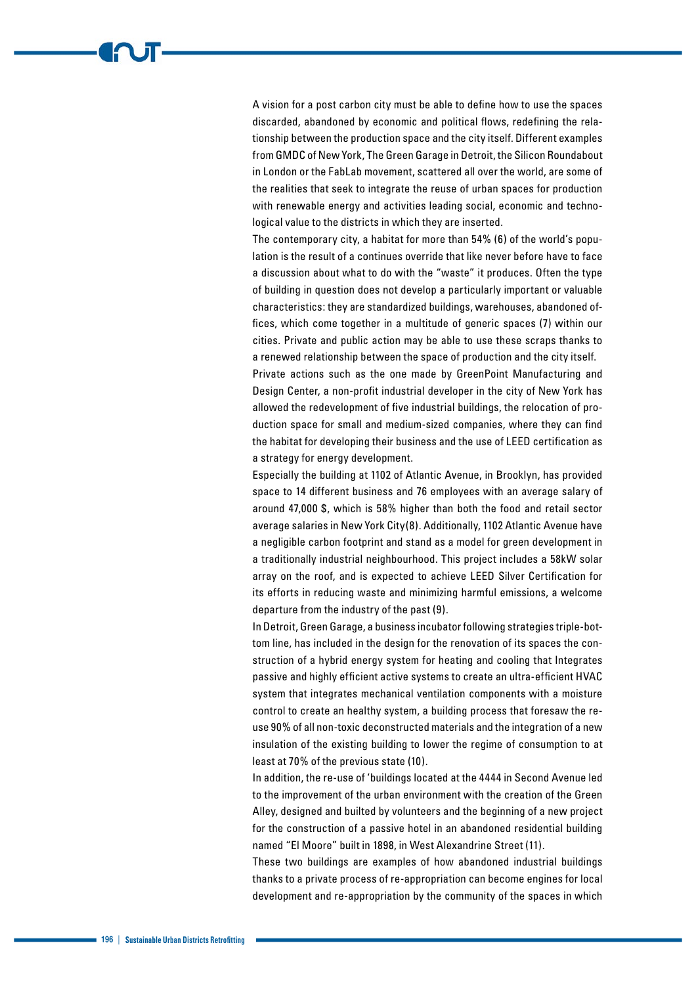A vision for a post carbon city must be able to define how to use the spaces discarded, abandoned by economic and political flows, redefining the relationship between the production space and the city itself. Different examples from GMDC of New York, The Green Garage in Detroit, the Silicon Roundabout in London or the FabLab movement, scattered all over the world, are some of the realities that seek to integrate the reuse of urban spaces for production with renewable energy and activities leading social, economic and technological value to the districts in which they are inserted.

The contemporary city, a habitat for more than 54% (6) of the world's population is the result of a continues override that like never before have to face a discussion about what to do with the "waste" it produces. Often the type of building in question does not develop a particularly important or valuable characteristics: they are standardized buildings, warehouses, abandoned offices, which come together in a multitude of generic spaces (7) within our cities. Private and public action may be able to use these scraps thanks to a renewed relationship between the space of production and the city itself.

Private actions such as the one made by GreenPoint Manufacturing and Design Center, a non-profit industrial developer in the city of New York has allowed the redevelopment of five industrial buildings, the relocation of production space for small and medium-sized companies, where they can find the habitat for developing their business and the use of LEED certification as a strategy for energy development.

Especially the building at 1102 of Atlantic Avenue, in Brooklyn, has provided space to 14 different business and 76 employees with an average salary of around 47,000 \$, which is 58% higher than both the food and retail sector average salaries in New York City(8). Additionally, 1102 Atlantic Avenue have a negligible carbon footprint and stand as a model for green development in a traditionally industrial neighbourhood. This project includes a 58kW solar array on the roof, and is expected to achieve LEED Silver Certification for its efforts in reducing waste and minimizing harmful emissions, a welcome departure from the industry of the past (9).

In Detroit, Green Garage, a business incubator following strategies triple-bottom line, has included in the design for the renovation of its spaces the construction of a hybrid energy system for heating and cooling that Integrates passive and highly efficient active systems to create an ultra-efficient HVAC system that integrates mechanical ventilation components with a moisture control to create an healthy system, a building process that foresaw the reuse 90% of all non-toxic deconstructed materials and the integration of a new insulation of the existing building to lower the regime of consumption to at least at 70% of the previous state (10).

In addition, the re-use of 'buildings located at the 4444 in Second Avenue led to the improvement of the urban environment with the creation of the Green Alley, designed and builted by volunteers and the beginning of a new project for the construction of a passive hotel in an abandoned residential building named "El Moore" built in 1898, in West Alexandrine Street (11).

These two buildings are examples of how abandoned industrial buildings thanks to a private process of re-appropriation can become engines for local development and re-appropriation by the community of the spaces in which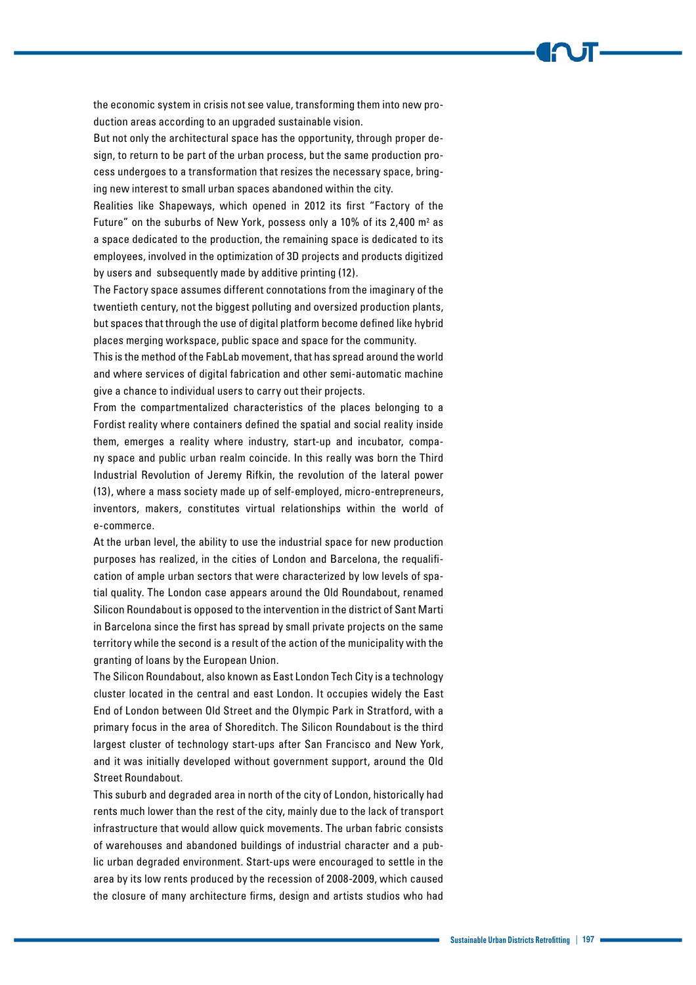the economic system in crisis not see value, transforming them into new production areas according to an upgraded sustainable vision.

But not only the architectural space has the opportunity, through proper design, to return to be part of the urban process, but the same production process undergoes to a transformation that resizes the necessary space, bringing new interest to small urban spaces abandoned within the city.

Realities like Shapeways, which opened in 2012 its first "Factory of the Future" on the suburbs of New York, possess only a 10% of its 2,400  $m<sup>2</sup>$  as a space dedicated to the production, the remaining space is dedicated to its employees, involved in the optimization of 3D projects and products digitized by users and subsequently made by additive printing (12).

The Factory space assumes different connotations from the imaginary of the twentieth century, not the biggest polluting and oversized production plants, but spaces that through the use of digital platform become defined like hybrid places merging workspace, public space and space for the community.

This is the method of the FabLab movement, that has spread around the world and where services of digital fabrication and other semi-automatic machine give a chance to individual users to carry out their projects.

From the compartmentalized characteristics of the places belonging to a Fordist reality where containers defined the spatial and social reality inside them, emerges a reality where industry, start-up and incubator, company space and public urban realm coincide. In this really was born the Third Industrial Revolution of Jeremy Rifkin, the revolution of the lateral power (13), where a mass society made up of self-employed, micro-entrepreneurs, inventors, makers, constitutes virtual relationships within the world of e-commerce.

At the urban level, the ability to use the industrial space for new production purposes has realized, in the cities of London and Barcelona, the requalification of ample urban sectors that were characterized by low levels of spatial quality. The London case appears around the Old Roundabout, renamed Silicon Roundabout is opposed to the intervention in the district of Sant Marti in Barcelona since the first has spread by small private projects on the same territory while the second is a result of the action of the municipality with the granting of loans by the European Union.

The Silicon Roundabout, also known as East London Tech City is a technology cluster located in the central and east London. It occupies widely the East End of London between Old Street and the Olympic Park in Stratford, with a primary focus in the area of Shoreditch. The Silicon Roundabout is the third largest cluster of technology start-ups after San Francisco and New York, and it was initially developed without government support, around the Old Street Roundabout.

This suburb and degraded area in north of the city of London, historically had rents much lower than the rest of the city, mainly due to the lack of transport infrastructure that would allow quick movements. The urban fabric consists of warehouses and abandoned buildings of industrial character and a public urban degraded environment. Start-ups were encouraged to settle in the area by its low rents produced by the recession of 2008-2009, which caused the closure of many architecture firms, design and artists studios who had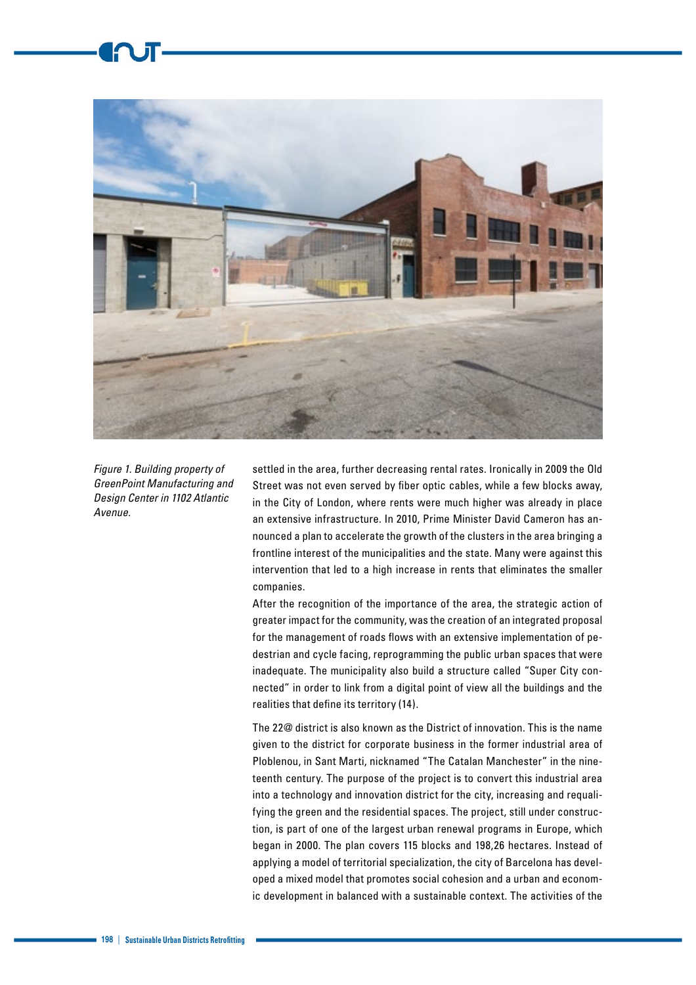

*Figure 1. Building property of GreenPoint Manufacturing and Design Center in 1102 Atlantic Avenue.*

settled in the area, further decreasing rental rates. Ironically in 2009 the Old Street was not even served by fiber optic cables, while a few blocks away, in the City of London, where rents were much higher was already in place an extensive infrastructure. In 2010, Prime Minister David Cameron has announced a plan to accelerate the growth of the clusters in the area bringing a frontline interest of the municipalities and the state. Many were against this intervention that led to a high increase in rents that eliminates the smaller companies.

After the recognition of the importance of the area, the strategic action of greater impact for the community, was the creation of an integrated proposal for the management of roads flows with an extensive implementation of pedestrian and cycle facing, reprogramming the public urban spaces that were inadequate. The municipality also build a structure called "Super City connected" in order to link from a digital point of view all the buildings and the realities that define its territory (14).

The 22@ district is also known as the District of innovation. This is the name given to the district for corporate business in the former industrial area of Ploblenou, in Sant Marti, nicknamed "The Catalan Manchester" in the nineteenth century. The purpose of the project is to convert this industrial area into a technology and innovation district for the city, increasing and requalifying the green and the residential spaces. The project, still under construction, is part of one of the largest urban renewal programs in Europe, which began in 2000. The plan covers 115 blocks and 198,26 hectares. Instead of applying a model of territorial specialization, the city of Barcelona has developed a mixed model that promotes social cohesion and a urban and economic development in balanced with a sustainable context. The activities of the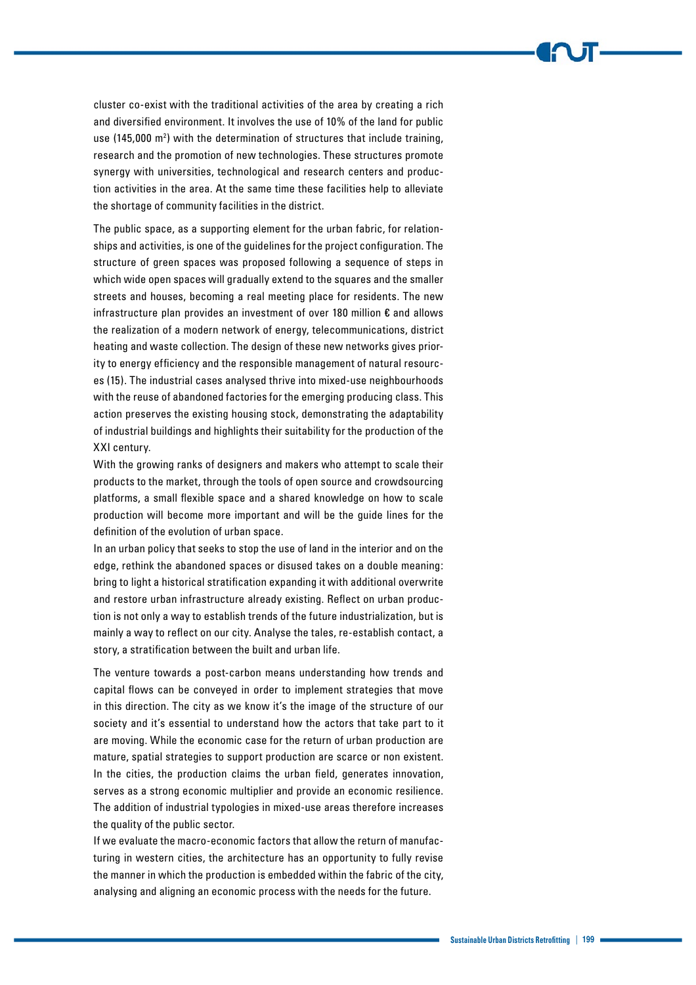cluster co-exist with the traditional activities of the area by creating a rich and diversified environment. It involves the use of 10% of the land for public use (145,000 m2 ) with the determination of structures that include training, research and the promotion of new technologies. These structures promote synergy with universities, technological and research centers and production activities in the area. At the same time these facilities help to alleviate the shortage of community facilities in the district.

The public space, as a supporting element for the urban fabric, for relationships and activities, is one of the guidelines for the project configuration. The structure of green spaces was proposed following a sequence of steps in which wide open spaces will gradually extend to the squares and the smaller streets and houses, becoming a real meeting place for residents. The new infrastructure plan provides an investment of over 180 million € and allows the realization of a modern network of energy, telecommunications, district heating and waste collection. The design of these new networks gives priority to energy efficiency and the responsible management of natural resources (15). The industrial cases analysed thrive into mixed-use neighbourhoods with the reuse of abandoned factories for the emerging producing class. This action preserves the existing housing stock, demonstrating the adaptability of industrial buildings and highlights their suitability for the production of the XXI century.

With the growing ranks of designers and makers who attempt to scale their products to the market, through the tools of open source and crowdsourcing platforms, a small flexible space and a shared knowledge on how to scale production will become more important and will be the guide lines for the definition of the evolution of urban space.

In an urban policy that seeks to stop the use of land in the interior and on the edge, rethink the abandoned spaces or disused takes on a double meaning: bring to light a historical stratification expanding it with additional overwrite and restore urban infrastructure already existing. Reflect on urban production is not only a way to establish trends of the future industrialization, but is mainly a way to reflect on our city. Analyse the tales, re-establish contact, a story, a stratification between the built and urban life.

The venture towards a post-carbon means understanding how trends and capital flows can be conveyed in order to implement strategies that move in this direction. The city as we know it's the image of the structure of our society and it's essential to understand how the actors that take part to it are moving. While the economic case for the return of urban production are mature, spatial strategies to support production are scarce or non existent. In the cities, the production claims the urban field, generates innovation, serves as a strong economic multiplier and provide an economic resilience. The addition of industrial typologies in mixed-use areas therefore increases the quality of the public sector.

If we evaluate the macro-economic factors that allow the return of manufacturing in western cities, the architecture has an opportunity to fully revise the manner in which the production is embedded within the fabric of the city, analysing and aligning an economic process with the needs for the future.